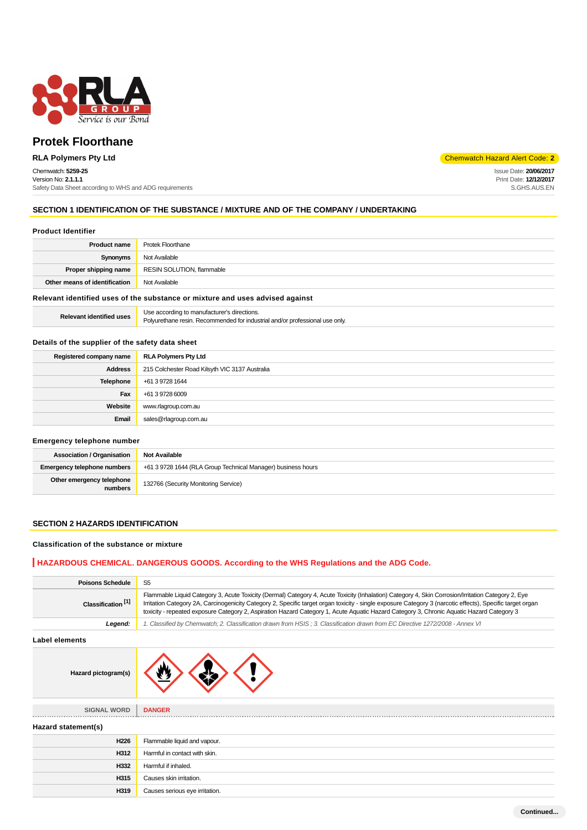

## Chemwatch: **5259-25**

Version No: **2.1.1.1** Safety Data Sheet according to WHS and ADG requirements

**RLA Polymers Pty Ltd** Code: **2** 

Issue Date: **20/06/2017** Print Date: **12/12/2017** S.GHS.AUS.EN

## **SECTION 1 IDENTIFICATION OF THE SUBSTANCE / MIXTURE AND OF THE COMPANY / UNDERTAKING**

#### **Product Identifier**

| <b>Product name</b>           | <b>Protek Floorthane</b>  |
|-------------------------------|---------------------------|
| Synonyms                      | Not Available             |
| Proper shipping name          | RESIN SOLUTION, flammable |
| Other means of identification | Not Available             |
|                               |                           |

#### **Relevant identified uses of the substance or mixture and uses advised against**

| Relevant identified uses | Use according to manufacturer's directions.                                  |
|--------------------------|------------------------------------------------------------------------------|
|                          | Polyurethane resin. Recommended for industrial and/or professional use only. |

## **Details of the supplier of the safety data sheet**

| Registered company name | <b>RLA Polymers Pty Ltd</b>                    |
|-------------------------|------------------------------------------------|
| <b>Address</b>          | 215 Colchester Road Kilsyth VIC 3137 Australia |
| Telephone               | +61 3 9728 1644                                |
| Fax                     | +61 3 9728 6009                                |
| Website                 | www.rlagroup.com.au                            |
| Email                   | sales@rlagroup.com.au                          |

## **Emergency telephone number**

| Association / Organisation           | <b>Not Available</b>                                         |
|--------------------------------------|--------------------------------------------------------------|
| Emergency telephone numbers          | +61 3 9728 1644 (RLA Group Technical Manager) business hours |
| Other emergency telephone<br>numbers | 132766 (Security Monitoring Service)                         |

#### **SECTION 2 HAZARDS IDENTIFICATION**

## **Classification of the substance or mixture**

## **HAZARDOUS CHEMICAL. DANGEROUS GOODS. According to the WHS Regulations and the ADG Code.**

| <b>Poisons Schedule</b>       | S <sub>5</sub>                                                                                                                                                                                                                                                                                                                                                                                                                                               |
|-------------------------------|--------------------------------------------------------------------------------------------------------------------------------------------------------------------------------------------------------------------------------------------------------------------------------------------------------------------------------------------------------------------------------------------------------------------------------------------------------------|
| Classification <sup>[1]</sup> | Flammable Liquid Category 3, Acute Toxicity (Dermal) Category 4, Acute Toxicity (Inhalation) Category 4, Skin Corrosion/Irritation Category 2, Eye<br>Irritation Category 2A, Carcinogenicity Category 2, Specific target organ toxicity - single exposure Category 3 (narcotic effects), Specific target organ<br>toxicity - repeated exposure Category 2, Aspiration Hazard Category 1, Acute Aquatic Hazard Category 3, Chronic Aquatic Hazard Category 3 |
| Legend:                       | 1. Classified by Chemwatch; 2. Classification drawn from HSIS; 3. Classification drawn from EC Directive 1272/2008 - Annex VI                                                                                                                                                                                                                                                                                                                                |
| Label elements                |                                                                                                                                                                                                                                                                                                                                                                                                                                                              |
| Hazard pictogram(s)           |                                                                                                                                                                                                                                                                                                                                                                                                                                                              |
| <b>SIGNAL WORD</b>            | <b>DANGER</b>                                                                                                                                                                                                                                                                                                                                                                                                                                                |
| Hazard statement(s)           |                                                                                                                                                                                                                                                                                                                                                                                                                                                              |
| H226                          | Flammable liquid and vapour.                                                                                                                                                                                                                                                                                                                                                                                                                                 |
| H312                          | Harmful in contact with skin.                                                                                                                                                                                                                                                                                                                                                                                                                                |
| H332                          | Harmful if inhaled.                                                                                                                                                                                                                                                                                                                                                                                                                                          |
| H315                          | Causes skin irritation.                                                                                                                                                                                                                                                                                                                                                                                                                                      |
| H319                          | Causes serious eye irritation.                                                                                                                                                                                                                                                                                                                                                                                                                               |
|                               |                                                                                                                                                                                                                                                                                                                                                                                                                                                              |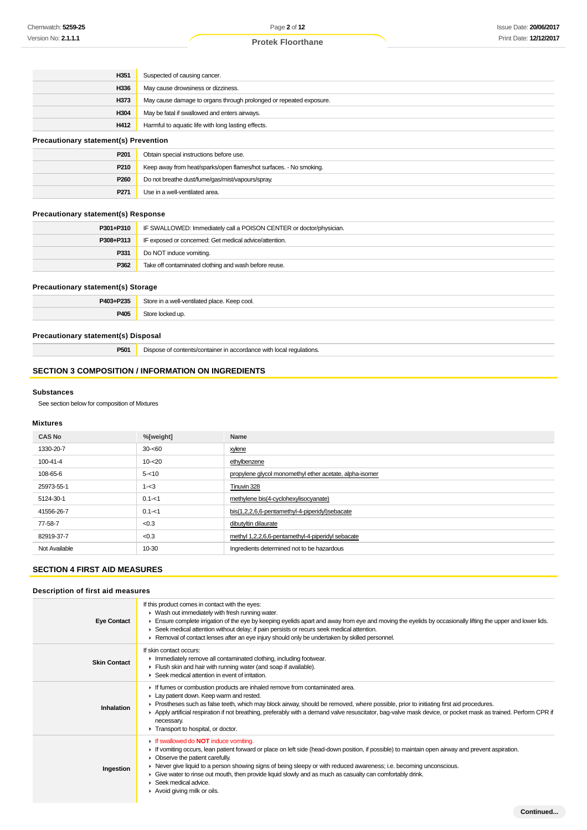| H351                                         | Suspected of causing cancer.                                       |
|----------------------------------------------|--------------------------------------------------------------------|
| H336                                         | May cause drowsiness or dizziness.                                 |
| H373                                         | May cause damage to organs through prolonged or repeated exposure. |
| H304                                         | May be fatal if swallowed and enters airways.                      |
| H412                                         | Harmful to aquatic life with long lasting effects.                 |
| <b>Precautionary statement(s) Prevention</b> |                                                                    |
| P <sub>201</sub>                             | Obtain special instructions before use.                            |
| P210                                         | Keep away from heat/sparks/open flames/hot surfaces. - No smoking. |

## **Precautionary statement(s) Response**

| P301+P310 | IF SWALLOWED: Immediately call a POISON CENTER or doctor/physician. |
|-----------|---------------------------------------------------------------------|
| P308+P313 | IF exposed or concerned: Get medical advice/attention.              |
| P331      | Do NOT induce vomiting.                                             |
| P362      | Take off contaminated clothing and wash before reuse.               |

#### **Precautionary statement(s) Storage**

| <b>DAN?</b><br><b>DOOP</b> | $\mathcal{L}_{\mathcal{L}}$<br>Keep cool.<br>hotilatod<br><b>nlace</b><br>.<br>$-1$ |
|----------------------------|-------------------------------------------------------------------------------------|
| DAN                        |                                                                                     |

## **Precautionary statement(s) Disposal**

**P501** Dispose of contents/container in accordance with local regulations.

**P260** Do not breathe dust/fume/gas/mist/vapours/spray.

**P271** Use in a well-ventilated area.

## **SECTION 3 COMPOSITION / INFORMATION ON INGREDIENTS**

#### **Substances**

See section below for composition of Mixtures

#### **Mixtures**

| <b>CAS No</b> | %[weight] | Name                                                    |
|---------------|-----------|---------------------------------------------------------|
| 1330-20-7     | $30 - 60$ | xylene                                                  |
| 100-41-4      | $10 - 20$ | ethylbenzene                                            |
| 108-65-6      | $5 - 10$  | propylene glycol monomethyl ether acetate, alpha-isomer |
| 25973-55-1    | $1 - 3$   | Tinuvin 328                                             |
| 5124-30-1     | $0.1 - 1$ | methylene bis(4-cyclohexylisocyanate)                   |
| 41556-26-7    | $0.1 - 1$ | bis(1,2,2,6,6-pentamethyl-4-piperidyl)sebacate          |
| 77-58-7       | < 0.3     | dibutyltin dilaurate                                    |
| 82919-37-7    | < 0.3     | methyl 1,2,2,6,6-pentamethyl-4-piperidyl sebacate       |
| Not Available | 10-30     | Ingredients determined not to be hazardous              |

#### **SECTION 4 FIRST AID MEASURES**

## **Description of first aid measures**

| <b>Eye Contact</b>  | If this product comes in contact with the eyes:<br>$\blacktriangleright$ Wash out immediately with fresh running water.<br>Ensure complete irrigation of the eye by keeping eyelids apart and away from eye and moving the eyelids by occasionally lifting the upper and lower lids.<br>► Seek medical attention without delay; if pain persists or recurs seek medical attention.                                                                                                                                                                   |
|---------------------|------------------------------------------------------------------------------------------------------------------------------------------------------------------------------------------------------------------------------------------------------------------------------------------------------------------------------------------------------------------------------------------------------------------------------------------------------------------------------------------------------------------------------------------------------|
| <b>Skin Contact</b> | ► Removal of contact lenses after an eye injury should only be undertaken by skilled personnel.<br>If skin contact occurs:<br>Inmediately remove all contaminated clothing, including footwear.<br>Flush skin and hair with running water (and soap if available).<br>▶ Seek medical attention in event of irritation.                                                                                                                                                                                                                               |
| Inhalation          | If fumes or combustion products are inhaled remove from contaminated area.<br>Lay patient down. Keep warm and rested.<br>Prostheses such as false teeth, which may block airway, should be removed, where possible, prior to initiating first aid procedures.<br>▶ Apply artificial respiration if not breathing, preferably with a demand valve resuscitator, bag-valve mask device, or pocket mask as trained. Perform CPR if<br>necessary.<br>Transport to hospital, or doctor.                                                                   |
| Ingestion           | If swallowed do <b>NOT</b> induce vomiting.<br>► If vomiting occurs, lean patient forward or place on left side (head-down position, if possible) to maintain open airway and prevent aspiration.<br>• Observe the patient carefully.<br>► Never give liquid to a person showing signs of being sleepy or with reduced awareness; i.e. becoming unconscious.<br>Give water to rinse out mouth, then provide liquid slowly and as much as casualty can comfortably drink.<br>$\blacktriangleright$ Seek medical advice.<br>Avoid giving milk or oils. |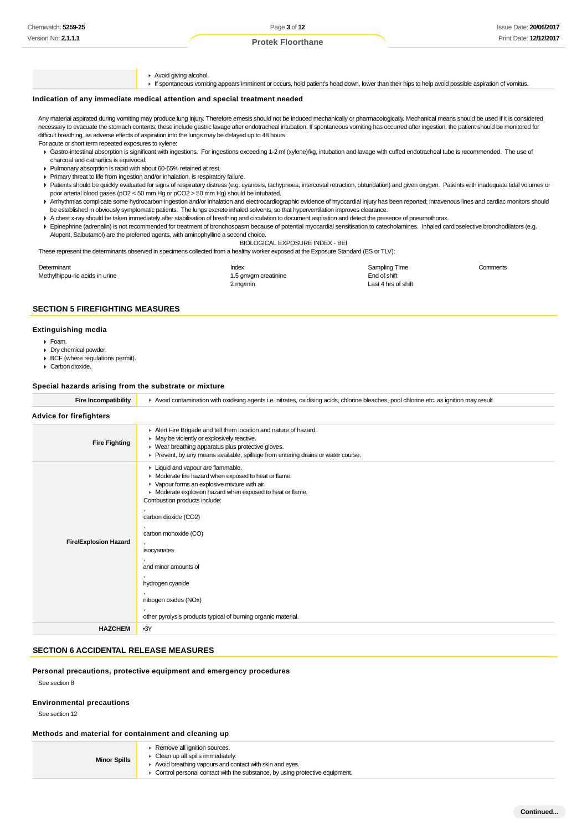Avoid giving alcohol. If spontaneous vomiting appears imminent or occurs, hold patient's head down, lower than their hips to help avoid possible aspiration of vomitus.

#### **Indication of any immediate medical attention and special treatment needed**

Any material aspirated during vomiting may produce lung injury. Therefore emesis should not be induced mechanically or pharmacologically. Mechanical means should be used if it is considered necessary to evacuate the stomach contents; these include gastric lavage after endotracheal intubation. If spontaneous vomiting has occurred after ingestion, the patient should be monitored for difficult breathing, as adverse effects of aspiration into the lungs may be delayed up to 48 hours.

- For acute or short term repeated exposures to xylene:
- Gastro-intestinal absorption is significant with ingestions. For ingestions exceeding 1-2 ml (xylene)/kg, intubation and lavage with cuffed endotracheal tube is recommended. The use of charcoal and cathartics is equivocal.
- Pulmonary absorption is rapid with about 60-65% retained at rest.
- Primary threat to life from ingestion and/or inhalation, is respiratory failure.
- ▶ Patients should be quickly evaluated for signs of respiratory distress (e.g. cyanosis, tachypnoea, intercostal retraction, obtundation) and given oxygen. Patients with inadequate tidal volumes or poor arterial blood gases (pO2 < 50 mm Hg or pCO2 > 50 mm Hg) should be intubated.
- ▶ Arrhythmias complicate some hydrocarbon ingestion and/or inhalation and electrocardiographic evidence of myocardial injury has been reported; intravenous lines and cardiac monitors should be established in obviously symptomatic patients. The lungs excrete inhaled solvents, so that hyperventilation improves clearance.
- A chest x-ray should be taken immediately after stabilisation of breathing and circulation to document aspiration and detect the presence of pneumothorax.
- Epinephrine (adrenalin) is not recommended for treatment of bronchospasm because of potential myocardial sensitisation to catecholamines. Inhaled cardioselective bronchodilators (e.g. Alupent, Salbutamol) are the preferred agents, with aminophylline a second choice.

BIOLOGICAL EXPOSURE INDEX - BEI

These represent the determinants observed in specimens collected from a healthy worker exposed at the Exposure Standard (ES or TLV):

| Determinant                    | Index                | Sampling Time       | Comments |
|--------------------------------|----------------------|---------------------|----------|
| Methylhippu-ric acids in urine | 1.5 gm/gm creatinine | End of shift        |          |
|                                | 2 mg/min             | Last 4 hrs of shift |          |

## **SECTION 5 FIREFIGHTING MEASURES**

#### **Extinguishing media**

- $F<sub>o</sub>$ am.
- Dry chemical powder.
- BCF (where regulations permit).
- Carbon dioxide.

#### **Special hazards arising from the substrate or mixture**

| <b>Fire Incompatibility</b>    | Avoid contamination with oxidising agents i.e. nitrates, oxidising acids, chlorine bleaches, pool chlorine etc. as ignition may result                                                                                                                                                                                                                                                                                                        |  |  |
|--------------------------------|-----------------------------------------------------------------------------------------------------------------------------------------------------------------------------------------------------------------------------------------------------------------------------------------------------------------------------------------------------------------------------------------------------------------------------------------------|--|--|
| <b>Advice for firefighters</b> |                                                                                                                                                                                                                                                                                                                                                                                                                                               |  |  |
| <b>Fire Fighting</b>           | Alert Fire Brigade and tell them location and nature of hazard.<br>• May be violently or explosively reactive.<br>▶ Wear breathing apparatus plus protective gloves.<br>▶ Prevent, by any means available, spillage from entering drains or water course.                                                                                                                                                                                     |  |  |
| <b>Fire/Explosion Hazard</b>   | Liquid and vapour are flammable.<br>• Moderate fire hazard when exposed to heat or flame.<br>• Vapour forms an explosive mixture with air.<br>• Moderate explosion hazard when exposed to heat or flame.<br>Combustion products include:<br>carbon dioxide (CO2)<br>carbon monoxide (CO)<br>isocyanates<br>and minor amounts of<br>hydrogen cyanide<br>nitrogen oxides (NOx)<br>other pyrolysis products typical of burning organic material. |  |  |
| <b>HAZCHEM</b>                 | $-3Y$                                                                                                                                                                                                                                                                                                                                                                                                                                         |  |  |
|                                |                                                                                                                                                                                                                                                                                                                                                                                                                                               |  |  |

## **SECTION 6 ACCIDENTAL RELEASE MEASURES**

#### **Personal precautions, protective equipment and emergency procedures**

See section 8

## **Environmental precautions**

See section 12

#### **Methods and material for containment and cleaning up**

| <b>Minor Spills</b> | Remove all ignition sources.<br>• Clean up all spills immediately.<br>Avoid breathing vapours and contact with skin and eves.<br>$\blacktriangleright$ Control personal contact with the substance, by using protective equipment. |
|---------------------|------------------------------------------------------------------------------------------------------------------------------------------------------------------------------------------------------------------------------------|
|---------------------|------------------------------------------------------------------------------------------------------------------------------------------------------------------------------------------------------------------------------------|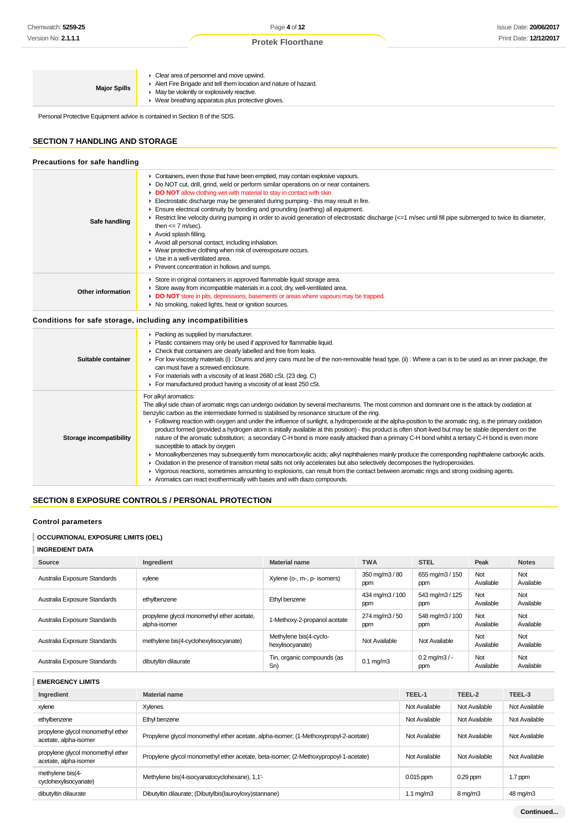| Clear area of personnel and move upwind.<br>Alert Fire Brigade and tell them location and nature of hazard.<br><b>Major Spills</b><br>• May be violently or explosively reactive.<br>▶ Wear breathing apparatus plus protective gloves. |  |
|-----------------------------------------------------------------------------------------------------------------------------------------------------------------------------------------------------------------------------------------|--|
|-----------------------------------------------------------------------------------------------------------------------------------------------------------------------------------------------------------------------------------------|--|

Personal Protective Equipment advice is contained in Section 8 of the SDS.

# **SECTION 7 HANDLING AND STORAGE**

| Precautions for safe handling |                                                                                                                                                                                                                                                                                                                                                                                                                                                                                                                                                                                                                                                                                                                                                                                                                                                                                  |
|-------------------------------|----------------------------------------------------------------------------------------------------------------------------------------------------------------------------------------------------------------------------------------------------------------------------------------------------------------------------------------------------------------------------------------------------------------------------------------------------------------------------------------------------------------------------------------------------------------------------------------------------------------------------------------------------------------------------------------------------------------------------------------------------------------------------------------------------------------------------------------------------------------------------------|
| Safe handling                 | • Containers, even those that have been emptied, may contain explosive vapours.<br>► Do NOT cut, drill, grind, weld or perform similar operations on or near containers.<br>DO NOT allow clothing wet with material to stay in contact with skin<br>Electrostatic discharge may be generated during pumping - this may result in fire.<br>$\blacktriangleright$ Ensure electrical continuity by bonding and grounding (earthing) all equipment.<br>Execution Restrict line velocity during pumping in order to avoid generation of electrostatic discharge (<=1 m/sec until fill pipe submerged to twice its diameter,<br>then $\leq$ 7 m/sec).<br>Avoid splash filling.<br>Avoid all personal contact, including inhalation.<br>• Wear protective clothing when risk of overexposure occurs.<br>• Use in a well-ventilated area.<br>Prevent concentration in hollows and sumps. |
| Other information             | Store in original containers in approved flammable liquid storage area.<br>► Store away from incompatible materials in a cool, dry, well-ventilated area.<br>DO NOT store in pits, depressions, basements or areas where vapours may be trapped.<br>▶ No smoking, naked lights, heat or ignition sources.                                                                                                                                                                                                                                                                                                                                                                                                                                                                                                                                                                        |

## **Conditions for safe storage, including any incompatibilities**

| Suitable container      | • Packing as supplied by manufacturer.<br>Plastic containers may only be used if approved for flammable liquid.<br>• Check that containers are clearly labelled and free from leaks.<br>For low viscosity materials (i): Drums and jerry cans must be of the non-removable head type. (ii): Where a can is to be used as an inner package, the<br>can must have a screwed enclosure.<br>► For materials with a viscosity of at least 2680 cSt. (23 deg. C)<br>For manufactured product having a viscosity of at least 250 cSt.                                                                                                                                                                                                                                                                                                                                                                                                                                                                                                                                                                                                                                                                                                                                                                           |
|-------------------------|----------------------------------------------------------------------------------------------------------------------------------------------------------------------------------------------------------------------------------------------------------------------------------------------------------------------------------------------------------------------------------------------------------------------------------------------------------------------------------------------------------------------------------------------------------------------------------------------------------------------------------------------------------------------------------------------------------------------------------------------------------------------------------------------------------------------------------------------------------------------------------------------------------------------------------------------------------------------------------------------------------------------------------------------------------------------------------------------------------------------------------------------------------------------------------------------------------------------------------------------------------------------------------------------------------|
| Storage incompatibility | For alkyl aromatics:<br>The alkyl side chain of aromatic rings can undergo oxidation by several mechanisms. The most common and dominant one is the attack by oxidation at<br>benzylic carbon as the intermediate formed is stabilised by resonance structure of the ring.<br>Following reaction with oxygen and under the influence of sunlight, a hydroperoxide at the alpha-position to the aromatic ring, is the primary oxidation<br>product formed (provided a hydrogen atom is initially available at this position) - this product is often short-lived but may be stable dependent on the<br>nature of the aromatic substitution; a secondary C-H bond is more easily attacked than a primary C-H bond whilst a tertiary C-H bond is even more<br>susceptible to attack by oxygen<br>• Monoalkylbenzenes may subsequently form monocarboxylic acids; alkyl naphthalenes mainly produce the corresponding naphthalene carboxylic acids.<br>▶ Oxidation in the presence of transition metal salts not only accelerates but also selectively decomposes the hydroperoxides.<br>► Vigorous reactions, sometimes amounting to explosions, can result from the contact between aromatic rings and strong oxidising agents.<br>Aromatics can react exothermically with bases and with diazo compounds. |

## **SECTION 8 EXPOSURE CONTROLS / PERSONAL PROTECTION**

## **Control parameters**

#### **OCCUPATIONAL EXPOSURE LIMITS (OEL)**

## **INGREDIENT DATA**

| Source                       | Ingredient                                                 | Material name                              | <b>TWA</b>             | <b>STEL</b>                    | Peak             | <b>Notes</b>     |
|------------------------------|------------------------------------------------------------|--------------------------------------------|------------------------|--------------------------------|------------------|------------------|
| Australia Exposure Standards | xylene                                                     | Xylene (o-, m-, p- isomers)                | 350 mg/m3 / 80<br>ppm  | 655 mg/m3 / 150<br>ppm         | Not<br>Available | Not<br>Available |
| Australia Exposure Standards | ethylbenzene                                               | Ethyl benzene                              | 434 mg/m3 / 100<br>ppm | 543 mg/m3 / 125<br>ppm         | Not<br>Available | Not<br>Available |
| Australia Exposure Standards | propylene glycol monomethyl ether acetate,<br>alpha-isomer | 1-Methoxy-2-propanol acetate               | 274 mg/m3 / 50<br>ppm  | 548 mg/m3 / 100<br>ppm         | Not<br>Available | Not<br>Available |
| Australia Exposure Standards | methylene bis(4-cyclohexylisocyanate)                      | Methylene bis(4-cyclo-<br>hexylisocyanate) | Not Available          | Not Available                  | Not<br>Available | Not<br>Available |
| Australia Exposure Standards | dibutyltin dilaurate                                       | Tin, organic compounds (as<br>Sn)          | $0.1 \text{ mg/m}$ 3   | $0.2 \text{ mg/m}3 / -$<br>ppm | Not<br>Available | Not<br>Available |

**EMERGENCY LIMITS**

| Ingredient                                                 | <b>Material name</b>                                                                 | TEEL-1             | TEEL-2              | TEEL-3        |
|------------------------------------------------------------|--------------------------------------------------------------------------------------|--------------------|---------------------|---------------|
| xylene                                                     | Xylenes                                                                              | Not Available      | Not Available       | Not Available |
| ethylbenzene                                               | Ethyl benzene                                                                        | Not Available      | Not Available       | Not Available |
| propylene glycol monomethyl ether<br>acetate, alpha-isomer | Propylene glycol monomethyl ether acetate, alpha-isomer; (1-Methoxypropyl-2-acetate) | Not Available      | Not Available       | Not Available |
| propylene glycol monomethyl ether<br>acetate, alpha-isomer | Propylene glycol monomethyl ether acetate, beta-isomer; (2-Methoxypropoyl-1-acetate) | Not Available      | Not Available       | Not Available |
| methylene bis(4-<br>cyclohexylisocyanate)                  | Methylene bis(4-isocyanatocyclohexane), 1,1'-                                        | $0.015$ ppm        | $0.29$ ppm          | 1.7 ppm       |
| dibutyltin dilaurate                                       | Dibutyltin dilaurate; (Dibutylbis(lauroyloxy)stannane)                               | $1.1 \text{ mg/m}$ | $8 \,\mathrm{mq/m}$ | 48 mg/m3      |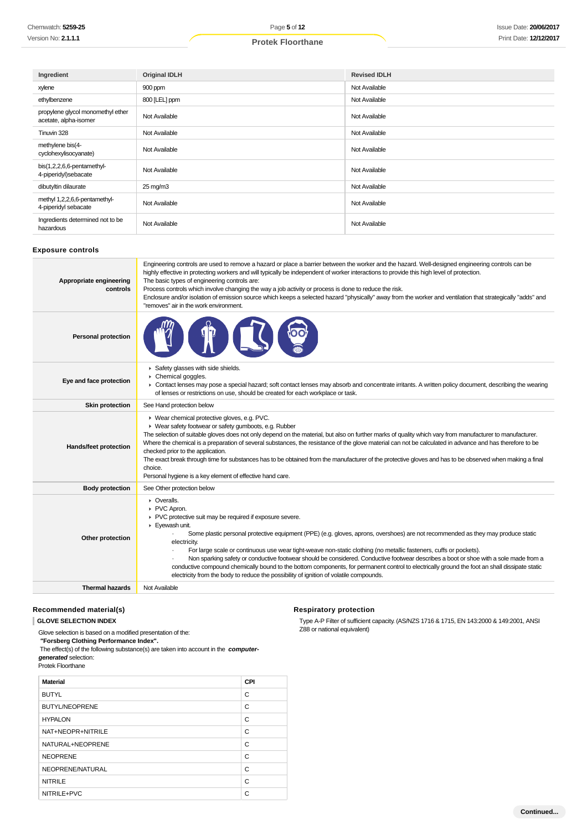| Ingredient                                                 | <b>Original IDLH</b> | <b>Revised IDLH</b> |
|------------------------------------------------------------|----------------------|---------------------|
| xylene                                                     | 900 ppm              | Not Available       |
| ethylbenzene                                               | 800 [LEL] ppm        | Not Available       |
| propylene glycol monomethyl ether<br>acetate, alpha-isomer | Not Available        | Not Available       |
| Tinuvin 328                                                | Not Available        | Not Available       |
| methylene bis(4-<br>cyclohexylisocyanate)                  | Not Available        | Not Available       |
| bis(1,2,2,6,6-pentamethyl-<br>4-piperidyl)sebacate         | Not Available        | Not Available       |
| dibutyltin dilaurate                                       | $25 \text{ mg/m}$ 3  | Not Available       |
| methyl 1,2,2,6,6-pentamethyl-<br>4-piperidyl sebacate      | Not Available        | Not Available       |
| Ingredients determined not to be<br>hazardous              | Not Available        | Not Available       |

#### **Exposure controls**

| <b>Personal protection</b><br>Safety glasses with side shields.<br>Chemical goggles.<br>Eye and face protection<br>• Contact lenses may pose a special hazard; soft contact lenses may absorb and concentrate irritants. A written policy document, describing the wearing<br>of lenses or restrictions on use, should be created for each workplace or task.<br><b>Skin protection</b><br>See Hand protection below<br>▶ Wear chemical protective gloves, e.g. PVC.<br>▶ Wear safety footwear or safety gumboots, e.g. Rubber<br>The selection of suitable gloves does not only depend on the material, but also on further marks of quality which vary from manufacturer to manufacturer.<br>Where the chemical is a preparation of several substances, the resistance of the glove material can not be calculated in advance and has therefore to be<br>Hands/feet protection<br>checked prior to the application.<br>The exact break through time for substances has to be obtained from the manufacturer of the protective gloves and has to be observed when making a final<br>choice.<br>Personal hygiene is a key element of effective hand care.<br><b>Body protection</b><br>See Other protection below<br>$\triangleright$ Overalls.<br>PVC Apron.<br>PVC protective suit may be required if exposure severe.<br>Eyewash unit.<br>Some plastic personal protective equipment (PPE) (e.g. gloves, aprons, overshoes) are not recommended as they may produce static<br>Other protection<br>electricity.<br>For large scale or continuous use wear tight-weave non-static clothing (no metallic fasteners, cuffs or pockets).<br>Non sparking safety or conductive footwear should be considered. Conductive footwear describes a boot or shoe with a sole made from a<br>conductive compound chemically bound to the bottom components, for permanent control to electrically ground the foot an shall dissipate static<br>electricity from the body to reduce the possibility of ignition of volatile compounds.<br><b>Thermal hazards</b><br>Not Available | Appropriate engineering<br>controls | Engineering controls are used to remove a hazard or place a barrier between the worker and the hazard. Well-designed engineering controls can be<br>highly effective in protecting workers and will typically be independent of worker interactions to provide this high level of protection.<br>The basic types of engineering controls are:<br>Process controls which involve changing the way a job activity or process is done to reduce the risk.<br>Enclosure and/or isolation of emission source which keeps a selected hazard "physically" away from the worker and ventilation that strategically "adds" and<br>"removes" air in the work environment. |
|------------------------------------------------------------------------------------------------------------------------------------------------------------------------------------------------------------------------------------------------------------------------------------------------------------------------------------------------------------------------------------------------------------------------------------------------------------------------------------------------------------------------------------------------------------------------------------------------------------------------------------------------------------------------------------------------------------------------------------------------------------------------------------------------------------------------------------------------------------------------------------------------------------------------------------------------------------------------------------------------------------------------------------------------------------------------------------------------------------------------------------------------------------------------------------------------------------------------------------------------------------------------------------------------------------------------------------------------------------------------------------------------------------------------------------------------------------------------------------------------------------------------------------------------------------------------------------------------------------------------------------------------------------------------------------------------------------------------------------------------------------------------------------------------------------------------------------------------------------------------------------------------------------------------------------------------------------------------------------------------------------------------------------------------------------------------|-------------------------------------|-----------------------------------------------------------------------------------------------------------------------------------------------------------------------------------------------------------------------------------------------------------------------------------------------------------------------------------------------------------------------------------------------------------------------------------------------------------------------------------------------------------------------------------------------------------------------------------------------------------------------------------------------------------------|
|                                                                                                                                                                                                                                                                                                                                                                                                                                                                                                                                                                                                                                                                                                                                                                                                                                                                                                                                                                                                                                                                                                                                                                                                                                                                                                                                                                                                                                                                                                                                                                                                                                                                                                                                                                                                                                                                                                                                                                                                                                                                        |                                     |                                                                                                                                                                                                                                                                                                                                                                                                                                                                                                                                                                                                                                                                 |
|                                                                                                                                                                                                                                                                                                                                                                                                                                                                                                                                                                                                                                                                                                                                                                                                                                                                                                                                                                                                                                                                                                                                                                                                                                                                                                                                                                                                                                                                                                                                                                                                                                                                                                                                                                                                                                                                                                                                                                                                                                                                        |                                     |                                                                                                                                                                                                                                                                                                                                                                                                                                                                                                                                                                                                                                                                 |
|                                                                                                                                                                                                                                                                                                                                                                                                                                                                                                                                                                                                                                                                                                                                                                                                                                                                                                                                                                                                                                                                                                                                                                                                                                                                                                                                                                                                                                                                                                                                                                                                                                                                                                                                                                                                                                                                                                                                                                                                                                                                        |                                     |                                                                                                                                                                                                                                                                                                                                                                                                                                                                                                                                                                                                                                                                 |
|                                                                                                                                                                                                                                                                                                                                                                                                                                                                                                                                                                                                                                                                                                                                                                                                                                                                                                                                                                                                                                                                                                                                                                                                                                                                                                                                                                                                                                                                                                                                                                                                                                                                                                                                                                                                                                                                                                                                                                                                                                                                        |                                     |                                                                                                                                                                                                                                                                                                                                                                                                                                                                                                                                                                                                                                                                 |
|                                                                                                                                                                                                                                                                                                                                                                                                                                                                                                                                                                                                                                                                                                                                                                                                                                                                                                                                                                                                                                                                                                                                                                                                                                                                                                                                                                                                                                                                                                                                                                                                                                                                                                                                                                                                                                                                                                                                                                                                                                                                        |                                     |                                                                                                                                                                                                                                                                                                                                                                                                                                                                                                                                                                                                                                                                 |
|                                                                                                                                                                                                                                                                                                                                                                                                                                                                                                                                                                                                                                                                                                                                                                                                                                                                                                                                                                                                                                                                                                                                                                                                                                                                                                                                                                                                                                                                                                                                                                                                                                                                                                                                                                                                                                                                                                                                                                                                                                                                        |                                     |                                                                                                                                                                                                                                                                                                                                                                                                                                                                                                                                                                                                                                                                 |
|                                                                                                                                                                                                                                                                                                                                                                                                                                                                                                                                                                                                                                                                                                                                                                                                                                                                                                                                                                                                                                                                                                                                                                                                                                                                                                                                                                                                                                                                                                                                                                                                                                                                                                                                                                                                                                                                                                                                                                                                                                                                        |                                     |                                                                                                                                                                                                                                                                                                                                                                                                                                                                                                                                                                                                                                                                 |

## **Recommended material(s)**

**GLOVE SELECTION INDEX**

Glove selection is based on a modified presentation of the:

 **"Forsberg Clothing Performance Index".**

 The effect(s) of the following substance(s) are taken into account in the **computergenerated** selection:

#### Protek Floorthane

| <b>Material</b>       | CPI |
|-----------------------|-----|
| <b>BUTYL</b>          | C   |
| <b>BUTYL/NEOPRENE</b> | C   |
| <b>HYPALON</b>        | C   |
| NAT+NEOPR+NITRILE     | C   |
| NATURAL+NEOPRENE      | C   |
| <b>NEOPRENE</b>       | C   |
| NEOPRENE/NATURAL      | C   |
| <b>NITRILE</b>        | C   |
| NITRILE+PVC           | C   |

## **Respiratory protection**

Type A-P Filter of sufficient capacity. (AS/NZS 1716 & 1715, EN 143:2000 & 149:2001, ANSI Z88 or national equivalent)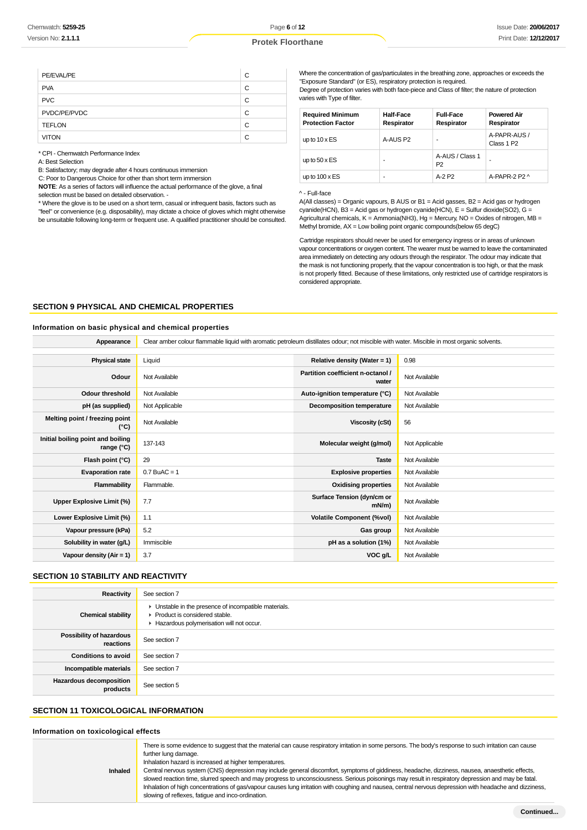| PE/EVAL/PE    | C |
|---------------|---|
| <b>PVA</b>    | C |
| <b>PVC</b>    | C |
| PVDC/PE/PVDC  | C |
| <b>TEFLON</b> | C |
| <b>VITON</b>  | C |

\* CPI - Chemwatch Performance Index

A: Best Selection

B: Satisfactory; may degrade after 4 hours continuous immersion

C: Poor to Dangerous Choice for other than short term immersion

**NOTE**: As a series of factors will influence the actual performance of the glove, a final

selection must be based on detailed observation. - \* Where the glove is to be used on a short term, casual or infrequent basis, factors such as "feel" or convenience (e.g. disposability), may dictate a choice of gloves which might otherwise be unsuitable following long-term or frequent use. A qualified practitioner should be consulted. Where the concentration of gas/particulates in the breathing zone, approaches or exceeds the "Exposure Standard" (or ES), respiratory protection is required.

Degree of protection varies with both face-piece and Class of filter; the nature of protection varies with Type of filter.

| <b>Required Minimum</b><br><b>Protection Factor</b> | <b>Half-Face</b><br>Respirator | <b>Full-Face</b><br>Respirator    | <b>Powered Air</b><br>Respirator       |
|-----------------------------------------------------|--------------------------------|-----------------------------------|----------------------------------------|
| up to $10 \times ES$                                | A-AUS P2                       |                                   | A-PAPR-AUS /<br>Class 1 P <sub>2</sub> |
| up to $50 \times ES$                                | ۰                              | A-AUS / Class 1<br>P <sub>2</sub> | ۰                                      |
| up to $100 \times ES$                               | ۰                              | $A-2P2$                           | A-PAPR-2 P2 $\land$                    |

#### ^ - Full-face

A(All classes) = Organic vapours, B AUS or B1 = Acid gasses, B2 = Acid gas or hydrogen cyanide(HCN), B3 = Acid gas or hydrogen cyanide(HCN), E = Sulfur dioxide(SO2), G = Agricultural chemicals, K = Ammonia(NH3), Hg = Mercury, NO = Oxides of nitrogen, MB = Methyl bromide, AX = Low boiling point organic compounds(below 65 degC)

Cartridge respirators should never be used for emergency ingress or in areas of unknown vapour concentrations or oxygen content. The wearer must be warned to leave the contaminated area immediately on detecting any odours through the respirator. The odour may indicate that the mask is not functioning properly, that the vapour concentration is too high, or that the mask is not properly fitted. Because of these limitations, only restricted use of cartridge respirators is considered appropriate.

#### **SECTION 9 PHYSICAL AND CHEMICAL PROPERTIES**

#### **Information on basic physical and chemical properties**

**Appearance** Clear amber colour flammable liquid with aromatic petroleum distillates odour; not miscible with water. Miscible in most organic solvents.

| <b>Physical state</b>                           | Liquid         | Relative density (Water = $1$ )            | 0.98           |
|-------------------------------------------------|----------------|--------------------------------------------|----------------|
| Odour                                           | Not Available  | Partition coefficient n-octanol /<br>water | Not Available  |
| <b>Odour threshold</b>                          | Not Available  | Auto-ignition temperature (°C)             | Not Available  |
| pH (as supplied)                                | Not Applicable | <b>Decomposition temperature</b>           | Not Available  |
| Melting point / freezing point<br>(°C)          | Not Available  | Viscosity (cSt)                            | 56             |
| Initial boiling point and boiling<br>range (°C) | 137-143        | Molecular weight (g/mol)                   | Not Applicable |
| Flash point (°C)                                | 29             | <b>Taste</b>                               | Not Available  |
| <b>Evaporation rate</b>                         | $0.7$ BuAC = 1 | <b>Explosive properties</b>                | Not Available  |
| Flammability                                    | Flammable.     | <b>Oxidising properties</b>                | Not Available  |
| Upper Explosive Limit (%)                       | 7.7            | Surface Tension (dyn/cm or<br>mN/m)        | Not Available  |
| Lower Explosive Limit (%)                       | 1.1            | <b>Volatile Component (%vol)</b>           | Not Available  |
| Vapour pressure (kPa)                           | 5.2            | Gas group                                  | Not Available  |
| Solubility in water (g/L)                       | Immiscible     | pH as a solution (1%)                      | Not Available  |
| Vapour density (Air = 1)                        | 3.7            | VOC g/L                                    | Not Available  |

#### **SECTION 10 STABILITY AND REACTIVITY**

| Reactivity                                   | See section 7                                                                                                                        |
|----------------------------------------------|--------------------------------------------------------------------------------------------------------------------------------------|
| <b>Chemical stability</b>                    | • Unstable in the presence of incompatible materials.<br>▶ Product is considered stable.<br>Hazardous polymerisation will not occur. |
| <b>Possibility of hazardous</b><br>reactions | See section 7                                                                                                                        |
| <b>Conditions to avoid</b>                   | See section 7                                                                                                                        |
| Incompatible materials                       | See section 7                                                                                                                        |
| <b>Hazardous decomposition</b><br>products   | See section 5                                                                                                                        |

#### **SECTION 11 TOXICOLOGICAL INFORMATION**

#### **Information on toxicological effects**

| <b>Inhaled</b> | There is some evidence to suggest that the material can cause respiratory irritation in some persons. The body's response to such irritation can cause<br>further lung damage.<br>Inhalation hazard is increased at higher temperatures.<br>Central nervous system (CNS) depression may include general discomfort, symptoms of giddiness, headache, dizziness, nausea, anaesthetic effects,<br>slowed reaction time, slurred speech and may progress to unconsciousness. Serious poisonings may result in respiratory depression and may be fatal.<br>Inhalation of high concentrations of gas/vapour causes lung irritation with coughing and nausea, central nervous depression with headache and dizziness,<br>slowing of reflexes, fatigue and inco-ordination. |
|----------------|----------------------------------------------------------------------------------------------------------------------------------------------------------------------------------------------------------------------------------------------------------------------------------------------------------------------------------------------------------------------------------------------------------------------------------------------------------------------------------------------------------------------------------------------------------------------------------------------------------------------------------------------------------------------------------------------------------------------------------------------------------------------|
|                |                                                                                                                                                                                                                                                                                                                                                                                                                                                                                                                                                                                                                                                                                                                                                                      |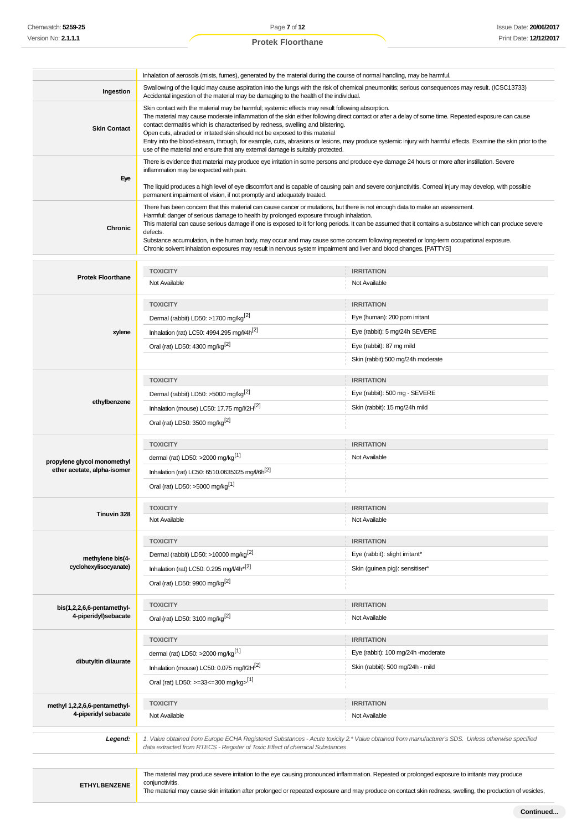Page **7** of **12 Protek Floorthane**

|                                                       | Inhalation of aerosols (mists, fumes), generated by the material during the course of normal handling, may be harmful.                                                                                                                                                                                                                                                                                                                                                                                                                                                                                                                                                       |                                                                                                                                                                                                                                                                                                              |  |
|-------------------------------------------------------|------------------------------------------------------------------------------------------------------------------------------------------------------------------------------------------------------------------------------------------------------------------------------------------------------------------------------------------------------------------------------------------------------------------------------------------------------------------------------------------------------------------------------------------------------------------------------------------------------------------------------------------------------------------------------|--------------------------------------------------------------------------------------------------------------------------------------------------------------------------------------------------------------------------------------------------------------------------------------------------------------|--|
| Ingestion                                             | Swallowing of the liquid may cause aspiration into the lungs with the risk of chemical pneumonitis; serious consequences may result. (ICSC13733)<br>Accidental ingestion of the material may be damaging to the health of the individual.                                                                                                                                                                                                                                                                                                                                                                                                                                    |                                                                                                                                                                                                                                                                                                              |  |
| <b>Skin Contact</b>                                   | Skin contact with the material may be harmful; systemic effects may result following absorption.<br>The material may cause moderate inflammation of the skin either following direct contact or after a delay of some time. Repeated exposure can cause<br>contact dermatitis which is characterised by redness, swelling and blistering.<br>Open cuts, abraded or irritated skin should not be exposed to this material<br>Entry into the blood-stream, through, for example, cuts, abrasions or lesions, may produce systemic injury with harmful effects. Examine the skin prior to the<br>use of the material and ensure that any external damage is suitably protected. |                                                                                                                                                                                                                                                                                                              |  |
| Eye                                                   | There is evidence that material may produce eye irritation in some persons and produce eye damage 24 hours or more after instillation. Severe<br>inflammation may be expected with pain.<br>The liquid produces a high level of eye discomfort and is capable of causing pain and severe conjunctivitis. Corneal injury may develop, with possible<br>permanent impairment of vision, if not promptly and adequately treated.                                                                                                                                                                                                                                                |                                                                                                                                                                                                                                                                                                              |  |
| Chronic                                               | There has been concern that this material can cause cancer or mutations, but there is not enough data to make an assessment.<br>Harmful: danger of serious damage to health by prolonged exposure through inhalation.<br>This material can cause serious damage if one is exposed to it for long periods. It can be assumed that it contains a substance which can produce severe<br>defects.<br>Substance accumulation, in the human body, may occur and may cause some concern following repeated or long-term occupational exposure.<br>Chronic solvent inhalation exposures may result in nervous system impairment and liver and blood changes. [PATTYS]                |                                                                                                                                                                                                                                                                                                              |  |
|                                                       | <b>TOXICITY</b>                                                                                                                                                                                                                                                                                                                                                                                                                                                                                                                                                                                                                                                              | <b>IRRITATION</b>                                                                                                                                                                                                                                                                                            |  |
| <b>Protek Floorthane</b>                              | Not Available                                                                                                                                                                                                                                                                                                                                                                                                                                                                                                                                                                                                                                                                | Not Available                                                                                                                                                                                                                                                                                                |  |
|                                                       |                                                                                                                                                                                                                                                                                                                                                                                                                                                                                                                                                                                                                                                                              |                                                                                                                                                                                                                                                                                                              |  |
|                                                       | <b>TOXICITY</b>                                                                                                                                                                                                                                                                                                                                                                                                                                                                                                                                                                                                                                                              | <b>IRRITATION</b><br>Eye (human): 200 ppm irritant                                                                                                                                                                                                                                                           |  |
|                                                       | Dermal (rabbit) LD50: >1700 mg/kg <sup>[2]</sup>                                                                                                                                                                                                                                                                                                                                                                                                                                                                                                                                                                                                                             |                                                                                                                                                                                                                                                                                                              |  |
| xylene                                                | Inhalation (rat) LC50: 4994.295 mg/l/4h <sup>[2]</sup>                                                                                                                                                                                                                                                                                                                                                                                                                                                                                                                                                                                                                       | Eye (rabbit): 5 mg/24h SEVERE                                                                                                                                                                                                                                                                                |  |
|                                                       | Oral (rat) LD50: 4300 mg/kg <sup>[2]</sup>                                                                                                                                                                                                                                                                                                                                                                                                                                                                                                                                                                                                                                   | Eye (rabbit): 87 mg mild<br>Skin (rabbit):500 mg/24h moderate                                                                                                                                                                                                                                                |  |
|                                                       |                                                                                                                                                                                                                                                                                                                                                                                                                                                                                                                                                                                                                                                                              |                                                                                                                                                                                                                                                                                                              |  |
|                                                       | <b>TOXICITY</b>                                                                                                                                                                                                                                                                                                                                                                                                                                                                                                                                                                                                                                                              | <b>IRRITATION</b>                                                                                                                                                                                                                                                                                            |  |
| ethylbenzene                                          | Dermal (rabbit) LD50: >5000 mg/kg <sup>[2]</sup>                                                                                                                                                                                                                                                                                                                                                                                                                                                                                                                                                                                                                             | Eye (rabbit): 500 mg - SEVERE                                                                                                                                                                                                                                                                                |  |
|                                                       | Inhalation (mouse) LC50: 17.75 mg/l/2H <sup>[2]</sup>                                                                                                                                                                                                                                                                                                                                                                                                                                                                                                                                                                                                                        | Skin (rabbit): 15 mg/24h mild                                                                                                                                                                                                                                                                                |  |
|                                                       | Oral (rat) LD50: 3500 mg/kg <sup>[2]</sup>                                                                                                                                                                                                                                                                                                                                                                                                                                                                                                                                                                                                                                   |                                                                                                                                                                                                                                                                                                              |  |
|                                                       | <b>TOXICITY</b>                                                                                                                                                                                                                                                                                                                                                                                                                                                                                                                                                                                                                                                              | <b>IRRITATION</b>                                                                                                                                                                                                                                                                                            |  |
| propylene glycol monomethyl                           | dermal (rat) LD50: >2000 mg/kg <sup>[1]</sup>                                                                                                                                                                                                                                                                                                                                                                                                                                                                                                                                                                                                                                | Not Available                                                                                                                                                                                                                                                                                                |  |
| ether acetate, alpha-isomer                           | Inhalation (rat) LC50: 6510.0635325 mg/l/6h <sup>[2]</sup>                                                                                                                                                                                                                                                                                                                                                                                                                                                                                                                                                                                                                   |                                                                                                                                                                                                                                                                                                              |  |
|                                                       | Oral (rat) LD50: >5000 mg/kg <sup>[1]</sup>                                                                                                                                                                                                                                                                                                                                                                                                                                                                                                                                                                                                                                  |                                                                                                                                                                                                                                                                                                              |  |
|                                                       | <b>TOXICITY</b>                                                                                                                                                                                                                                                                                                                                                                                                                                                                                                                                                                                                                                                              | <b>IRRITATION</b>                                                                                                                                                                                                                                                                                            |  |
| Tinuvin 328                                           | Not Available                                                                                                                                                                                                                                                                                                                                                                                                                                                                                                                                                                                                                                                                | Not Available                                                                                                                                                                                                                                                                                                |  |
|                                                       |                                                                                                                                                                                                                                                                                                                                                                                                                                                                                                                                                                                                                                                                              |                                                                                                                                                                                                                                                                                                              |  |
|                                                       | <b>TOXICITY</b>                                                                                                                                                                                                                                                                                                                                                                                                                                                                                                                                                                                                                                                              | <b>IRRITATION</b>                                                                                                                                                                                                                                                                                            |  |
| methylene bis(4-<br>cyclohexylisocyanate)             | Dermal (rabbit) LD50: >10000 mg/kg <sup>[2]</sup>                                                                                                                                                                                                                                                                                                                                                                                                                                                                                                                                                                                                                            | Eye (rabbit): slight irritant*                                                                                                                                                                                                                                                                               |  |
|                                                       | Inhalation (rat) LC50: 0.295 mg/l/4h*[2]                                                                                                                                                                                                                                                                                                                                                                                                                                                                                                                                                                                                                                     | Skin (guinea pig): sensitiser*                                                                                                                                                                                                                                                                               |  |
|                                                       | Oral (rat) LD50: 9900 mg/kg <sup>[2]</sup>                                                                                                                                                                                                                                                                                                                                                                                                                                                                                                                                                                                                                                   |                                                                                                                                                                                                                                                                                                              |  |
| bis(1,2,2,6,6-pentamethyl-                            | <b>TOXICITY</b>                                                                                                                                                                                                                                                                                                                                                                                                                                                                                                                                                                                                                                                              | <b>IRRITATION</b>                                                                                                                                                                                                                                                                                            |  |
| 4-piperidyl)sebacate                                  | Oral (rat) LD50: 3100 mg/kg <sup>[2]</sup>                                                                                                                                                                                                                                                                                                                                                                                                                                                                                                                                                                                                                                   | Not Available                                                                                                                                                                                                                                                                                                |  |
|                                                       | <b>TOXICITY</b>                                                                                                                                                                                                                                                                                                                                                                                                                                                                                                                                                                                                                                                              | <b>IRRITATION</b>                                                                                                                                                                                                                                                                                            |  |
|                                                       | dermal (rat) LD50: >2000 mg/kg <sup>[1]</sup>                                                                                                                                                                                                                                                                                                                                                                                                                                                                                                                                                                                                                                | Eye (rabbit): 100 mg/24h -moderate                                                                                                                                                                                                                                                                           |  |
| dibutyltin dilaurate                                  | Inhalation (mouse) LC50: 0.075 mg/l/2H[2]                                                                                                                                                                                                                                                                                                                                                                                                                                                                                                                                                                                                                                    | Skin (rabbit): 500 mg/24h - mild                                                                                                                                                                                                                                                                             |  |
|                                                       | Oral (rat) LD50: >=33<=300 mg/kg>[1]                                                                                                                                                                                                                                                                                                                                                                                                                                                                                                                                                                                                                                         |                                                                                                                                                                                                                                                                                                              |  |
|                                                       | <b>TOXICITY</b>                                                                                                                                                                                                                                                                                                                                                                                                                                                                                                                                                                                                                                                              | <b>IRRITATION</b>                                                                                                                                                                                                                                                                                            |  |
| methyl 1,2,2,6,6-pentamethyl-<br>4-piperidyl sebacate | Not Available                                                                                                                                                                                                                                                                                                                                                                                                                                                                                                                                                                                                                                                                | Not Available                                                                                                                                                                                                                                                                                                |  |
| Legend:                                               | data extracted from RTECS - Register of Toxic Effect of chemical Substances                                                                                                                                                                                                                                                                                                                                                                                                                                                                                                                                                                                                  | 1. Value obtained from Europe ECHA Registered Substances - Acute toxicity 2.* Value obtained from manufacturer's SDS. Unless otherwise specified                                                                                                                                                             |  |
|                                                       |                                                                                                                                                                                                                                                                                                                                                                                                                                                                                                                                                                                                                                                                              |                                                                                                                                                                                                                                                                                                              |  |
| <b>ETHYLBENZENE</b>                                   | conjunctivitis.                                                                                                                                                                                                                                                                                                                                                                                                                                                                                                                                                                                                                                                              | The material may produce severe irritation to the eye causing pronounced inflammation. Repeated or prolonged exposure to irritants may produce<br>The material may cause skin irritation after prolonged or repeated exposure and may produce on contact skin redness, swelling, the production of vesicles, |  |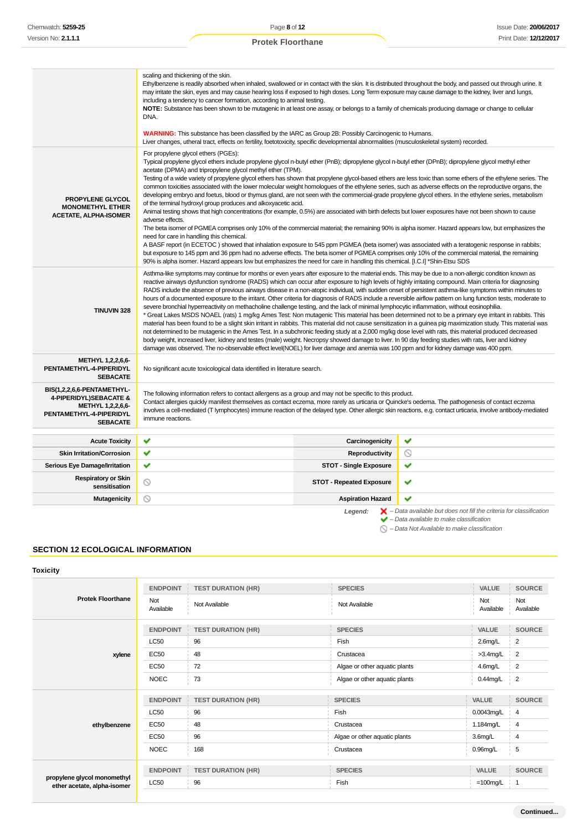|                                                                                                                                | scaling and thickening of the skin.<br>Ethylbenzene is readily absorbed when inhaled, swallowed or in contact with the skin. It is distributed throughout the body, and passed out through urine. It<br>may irritate the skin, eyes and may cause hearing loss if exposed to high doses. Long Term exposure may cause damage to the kidney, liver and lungs,<br>including a tendency to cancer formation, according to animal testing.<br>NOTE: Substance has been shown to be mutagenic in at least one assay, or belongs to a family of chemicals producing damage or change to cellular<br>DNA.<br><b>WARNING:</b> This substance has been classified by the IARC as Group 2B: Possibly Carcinogenic to Humans.<br>Liver changes, utheral tract, effects on fertility, foetotoxicity, specific developmental abnormalities (musculoskeletal system) recorded.                                                                                                                                                                                                                                                                                                                                                                                                                                                                                                                                                                                                                                                                                                                                                                       |                                 |                                                                                                                                                           |  |
|--------------------------------------------------------------------------------------------------------------------------------|----------------------------------------------------------------------------------------------------------------------------------------------------------------------------------------------------------------------------------------------------------------------------------------------------------------------------------------------------------------------------------------------------------------------------------------------------------------------------------------------------------------------------------------------------------------------------------------------------------------------------------------------------------------------------------------------------------------------------------------------------------------------------------------------------------------------------------------------------------------------------------------------------------------------------------------------------------------------------------------------------------------------------------------------------------------------------------------------------------------------------------------------------------------------------------------------------------------------------------------------------------------------------------------------------------------------------------------------------------------------------------------------------------------------------------------------------------------------------------------------------------------------------------------------------------------------------------------------------------------------------------------|---------------------------------|-----------------------------------------------------------------------------------------------------------------------------------------------------------|--|
| <b>PROPYLENE GLYCOL</b><br><b>MONOMETHYL ETHER</b><br><b>ACETATE, ALPHA-ISOMER</b>                                             | For propylene glycol ethers (PGEs):<br>Typical propylene glycol ethers include propylene glycol n-butyl ether (PnB); dipropylene glycol n-butyl ether (DPnB); dipropylene glycol methyl ether<br>acetate (DPMA) and tripropylene glycol methyl ether (TPM).<br>Testing of a wide variety of propylene glycol ethers has shown that propylene glycol-based ethers are less toxic than some ethers of the ethylene series. The<br>common toxicities associated with the lower molecular weight homologues of the ethylene series, such as adverse effects on the reproductive organs, the<br>developing embryo and foetus, blood or thymus gland, are not seen with the commercial-grade propylene glycol ethers. In the ethylene series, metabolism<br>of the terminal hydroxyl group produces and alkoxyacetic acid.<br>Animal testing shows that high concentrations (for example, 0.5%) are associated with birth defects but lower exposures have not been shown to cause<br>adverse effects.<br>The beta isomer of PGMEA comprises only 10% of the commercial material; the remaining 90% is alpha isomer. Hazard appears low, but emphasizes the<br>need for care in handling this chemical.<br>A BASF report (in ECETOC) showed that inhalation exposure to 545 ppm PGMEA (beta isomer) was associated with a teratogenic response in rabbits;<br>but exposure to 145 ppm and 36 ppm had no adverse effects. The beta isomer of PGMEA comprises only 10% of the commercial material, the remaining<br>90% is alpha isomer. Hazard appears low but emphasizes the need for care in handling this chemical. [I.C.I] *Shin-Etsu SDS |                                 |                                                                                                                                                           |  |
| <b>TINUVIN 328</b>                                                                                                             | Asthma-like symptoms may continue for months or even years after exposure to the material ends. This may be due to a non-allergic condition known as<br>reactive airways dysfunction syndrome (RADS) which can occur after exposure to high levels of highly irritating compound. Main criteria for diagnosing<br>RADS include the absence of previous airways disease in a non-atopic individual, with sudden onset of persistent asthma-like symptoms within minutes to<br>hours of a documented exposure to the irritant. Other criteria for diagnosis of RADS include a reversible airflow pattern on lung function tests, moderate to<br>severe bronchial hyperreactivity on methacholine challenge testing, and the lack of minimal lymphocytic inflammation, without eosinophilia.<br>* Great Lakes MSDS NOAEL (rats) 1 mg/kg Ames Test: Non mutagenic This material has been determined not to be a primary eye irritant in rabbits. This<br>material has been found to be a slight skin irritant in rabbits. This material did not cause sensitization in a guinea pig maximization study. This material was<br>not determined to be mutagenic in the Ames Test. In a subchronic feeding study at a 2,000 mg/kg dose level with rats, this material produced decreased<br>body weight, increased liver, kidney and testes (male) weight. Necropsy showed damage to liver. In 90 day feeding studies with rats, liver and kidney<br>damage was observed. The no-observable effect level(NOEL) for liver damage and anemia was 100 ppm and for kidney damage was 400 ppm.                                                       |                                 |                                                                                                                                                           |  |
| METHYL 1,2,2,6,6-<br>PENTAMETHYL-4-PIPERIDYL<br><b>SEBACATE</b>                                                                | No significant acute toxicological data identified in literature search.                                                                                                                                                                                                                                                                                                                                                                                                                                                                                                                                                                                                                                                                                                                                                                                                                                                                                                                                                                                                                                                                                                                                                                                                                                                                                                                                                                                                                                                                                                                                                               |                                 |                                                                                                                                                           |  |
| BIS(1,2,2,6,6-PENTAMETHYL-<br>4-PIPERIDYL)SEBACATE &<br><b>METHYL 1,2,2,6,6-</b><br>PENTAMETHYL-4-PIPERIDYL<br><b>SEBACATE</b> | The following information refers to contact allergens as a group and may not be specific to this product.<br>Contact allergies quickly manifest themselves as contact eczema, more rarely as urticaria or Quincke's oedema. The pathogenesis of contact eczema<br>involves a cell-mediated (T lymphocytes) immune reaction of the delayed type. Other allergic skin reactions, e.g. contact urticaria, involve antibody-mediated<br>immune reactions.                                                                                                                                                                                                                                                                                                                                                                                                                                                                                                                                                                                                                                                                                                                                                                                                                                                                                                                                                                                                                                                                                                                                                                                  |                                 |                                                                                                                                                           |  |
| <b>Acute Toxicity</b>                                                                                                          | ✔                                                                                                                                                                                                                                                                                                                                                                                                                                                                                                                                                                                                                                                                                                                                                                                                                                                                                                                                                                                                                                                                                                                                                                                                                                                                                                                                                                                                                                                                                                                                                                                                                                      | Carcinogenicity                 | ✔                                                                                                                                                         |  |
| <b>Skin Irritation/Corrosion</b>                                                                                               | ✔                                                                                                                                                                                                                                                                                                                                                                                                                                                                                                                                                                                                                                                                                                                                                                                                                                                                                                                                                                                                                                                                                                                                                                                                                                                                                                                                                                                                                                                                                                                                                                                                                                      | Reproductivity                  | ◎                                                                                                                                                         |  |
| Serious Eye Damage/Irritation                                                                                                  | ✔                                                                                                                                                                                                                                                                                                                                                                                                                                                                                                                                                                                                                                                                                                                                                                                                                                                                                                                                                                                                                                                                                                                                                                                                                                                                                                                                                                                                                                                                                                                                                                                                                                      | <b>STOT - Single Exposure</b>   | ✔                                                                                                                                                         |  |
| <b>Respiratory or Skin</b><br>sensitisation                                                                                    | $\circledcirc$                                                                                                                                                                                                                                                                                                                                                                                                                                                                                                                                                                                                                                                                                                                                                                                                                                                                                                                                                                                                                                                                                                                                                                                                                                                                                                                                                                                                                                                                                                                                                                                                                         | <b>STOT - Repeated Exposure</b> | ✔                                                                                                                                                         |  |
| <b>Mutagenicity</b>                                                                                                            | ര                                                                                                                                                                                                                                                                                                                                                                                                                                                                                                                                                                                                                                                                                                                                                                                                                                                                                                                                                                                                                                                                                                                                                                                                                                                                                                                                                                                                                                                                                                                                                                                                                                      | <b>Aspiration Hazard</b>        | ✔                                                                                                                                                         |  |
|                                                                                                                                |                                                                                                                                                                                                                                                                                                                                                                                                                                                                                                                                                                                                                                                                                                                                                                                                                                                                                                                                                                                                                                                                                                                                                                                                                                                                                                                                                                                                                                                                                                                                                                                                                                        | Legend:                         | $\blacktriangleright$ - Data available but does not fill the criteria for classification<br>$\blacktriangleright$ - Data available to make classification |  |

– Data Not Available to make classification

# **SECTION 12 ECOLOGICAL INFORMATION**

## **Toxicity**

| VALUE            | <b>SOURCE</b>                                                                                  |
|------------------|------------------------------------------------------------------------------------------------|
|                  |                                                                                                |
| Not<br>Available | Not<br>Available                                                                               |
| VALUE            | <b>SOURCE</b>                                                                                  |
| 2.6mg/L          | $\overline{c}$                                                                                 |
| $>3.4$ mg/L      | $\overline{2}$                                                                                 |
| 4.6mg/L          | $\overline{2}$                                                                                 |
| $0.44$ mg/L      | 2                                                                                              |
|                  | <b>SOURCE</b>                                                                                  |
|                  | 4                                                                                              |
|                  | $\overline{4}$                                                                                 |
|                  | 4                                                                                              |
|                  | 5                                                                                              |
|                  | <b>SOURCE</b>                                                                                  |
|                  | $\mathbf 1$                                                                                    |
|                  | VALUE<br>0.0043mg/L<br>1.184mg/L<br>3.6 <sub>mg/L</sub><br>$0.96$ mg/L<br>VALUE<br>$=100$ mg/L |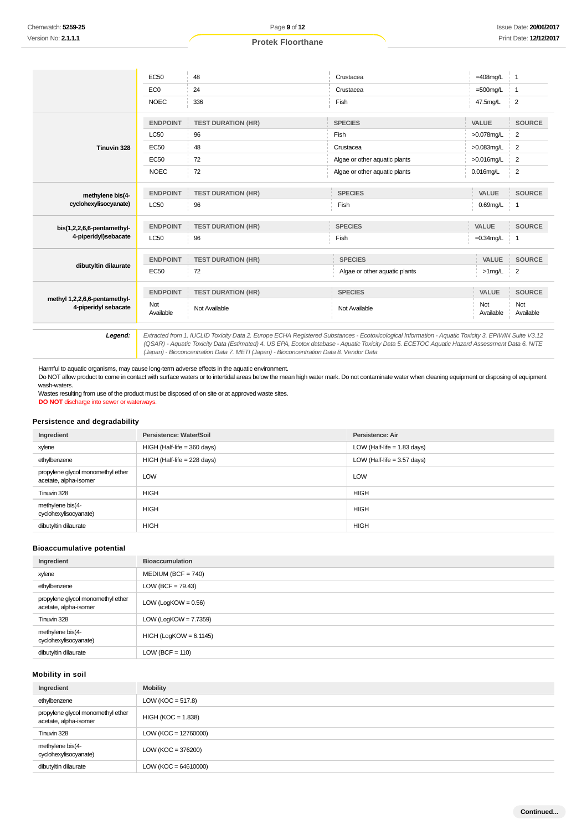|                                                       | <b>EC50</b>      | 48                                    | Crustacea                     | $=408$ mg/L      | $\mathbf{1}$                  |
|-------------------------------------------------------|------------------|---------------------------------------|-------------------------------|------------------|-------------------------------|
|                                                       | EC <sub>0</sub>  | 24                                    | Crustacea                     | $=500$ mg/L      | $\mathbf{1}$                  |
|                                                       | <b>NOEC</b>      | 336                                   | Fish                          | 47.5mg/L         | $\overline{2}$                |
|                                                       | <b>ENDPOINT</b>  | <b>TEST DURATION (HR)</b>             | <b>SPECIES</b>                | VALUE            | <b>SOURCE</b>                 |
|                                                       | <b>LC50</b>      | 96                                    | Fish                          | >0.078mg/L       | $\overline{2}$                |
| Tinuvin 328                                           | EC50             | 48                                    | Crustacea                     | $>0.083$ mg/L    | 2                             |
|                                                       | <b>EC50</b>      | 72                                    | Algae or other aquatic plants | >0.016mg/L       | $\overline{2}$                |
|                                                       | <b>NOEC</b>      | 72                                    | Algae or other aquatic plants | $0.016$ mg/L     | 2                             |
| methylene bis(4-                                      | <b>ENDPOINT</b>  | <b>TEST DURATION (HR)</b><br>÷        | <b>SPECIES</b>                | VALUE            | <b>SOURCE</b><br>$\Gamma$     |
| cyclohexylisocyanate)                                 | <b>LC50</b>      | 96                                    | Fish                          | $0.69$ mg/L   1  |                               |
| bis(1,2,2,6,6-pentamethyl-                            | <b>ENDPOINT</b>  | <b>TEST DURATION (HR)</b>             | <b>SPECIES</b>                | VALUE            | <b>SOURCE</b>                 |
| 4-piperidyl)sebacate                                  | <b>LC50</b>      | 96                                    | Fish                          | $=0.34$ mg/L     | -1                            |
| dibutyltin dilaurate                                  | <b>ENDPOINT</b>  | <b>TEST DURATION (HR)</b><br>$\Gamma$ | <b>SPECIES</b>                | VALUE            | <b>SOURCE</b><br>$\mathbb{I}$ |
|                                                       | <b>EC50</b>      | 72                                    | Algae or other aquatic plants | >1mg/L           | $\overline{2}$<br>÷.          |
|                                                       | <b>ENDPOINT</b>  | <b>TEST DURATION (HR)</b>             | <b>SPECIES</b>                | VALUE            | <b>SOURCE</b>                 |
| methyl 1,2,2,6,6-pentamethyl-<br>4-piperidyl sebacate | Not<br>Available | Not Available                         | Not Available                 | Not<br>Available | Not<br>Available              |

Extracted from 1. IUCLID Toxicity Data 2. Europe ECHA Registered Substances - Ecotoxicological Information - Aquatic Toxicity 3. EPIWIN Suite V3.12<br>QSAR) - Aquatic Toxicity Data (Estimated) 4. US EPA, Ecotox database - Aqu (Japan) - Bioconcentration Data 7. METI (Japan) - Bioconcentration Data 8. Vendor Data

Harmful to aquatic organisms, may cause long-term adverse effects in the aquatic environment.

Do NOT allow product to come in contact with surface waters or to intertidal areas below the mean high water mark. Do not contaminate water when cleaning equipment or disposing of equipment wash-waters.

Wastes resulting from use of the product must be disposed of on site or at approved waste sites. **DO NOT** discharge into sewer or waterways.

#### **Persistence and degradability**

| Ingredient                                                 | Persistence: Water/Soil       | Persistence: Air              |
|------------------------------------------------------------|-------------------------------|-------------------------------|
| xylene                                                     | $HIGH$ (Half-life = 360 days) | LOW (Half-life $= 1.83$ days) |
| ethylbenzene                                               | $HIGH$ (Half-life = 228 days) | LOW (Half-life $=$ 3.57 days) |
| propylene glycol monomethyl ether<br>acetate, alpha-isomer | <b>LOW</b>                    | LOW                           |
| Tinuvin 328                                                | <b>HIGH</b>                   | <b>HIGH</b>                   |
| methylene bis(4-<br>cyclohexylisocyanate)                  | <b>HIGH</b>                   | <b>HIGH</b>                   |
| dibutyltin dilaurate                                       | <b>HIGH</b>                   | <b>HIGH</b>                   |

#### **Bioaccumulative potential**

| Ingredient                                                 | <b>Bioaccumulation</b>   |
|------------------------------------------------------------|--------------------------|
| xylene                                                     | $MEDIUM (BCF = 740)$     |
| ethylbenzene                                               | $LOW (BCF = 79.43)$      |
| propylene glycol monomethyl ether<br>acetate, alpha-isomer | LOW (LogKOW = $0.56$ )   |
| Tinuvin 328                                                | LOW (LogKOW = $7.7359$ ) |
| methylene bis(4-<br>cyclohexylisocyanate)                  | $HIGH (LogKOW = 6.1145)$ |
| dibutyltin dilaurate                                       | $LOW (BCF = 110)$        |

## **Mobility in soil**

| Ingredient                                                 | <b>Mobility</b>        |
|------------------------------------------------------------|------------------------|
| ethylbenzene                                               | LOW ( $KOC = 517.8$ )  |
| propylene glycol monomethyl ether<br>acetate, alpha-isomer | $HIGH (KOC = 1.838)$   |
| Tinuvin 328                                                | $LOW (KOC = 12760000)$ |
| methylene bis(4-<br>cyclohexylisocyanate)                  | LOW ( $KOC = 376200$ ) |
| dibutyltin dilaurate                                       | $LOW (KOC = 64610000)$ |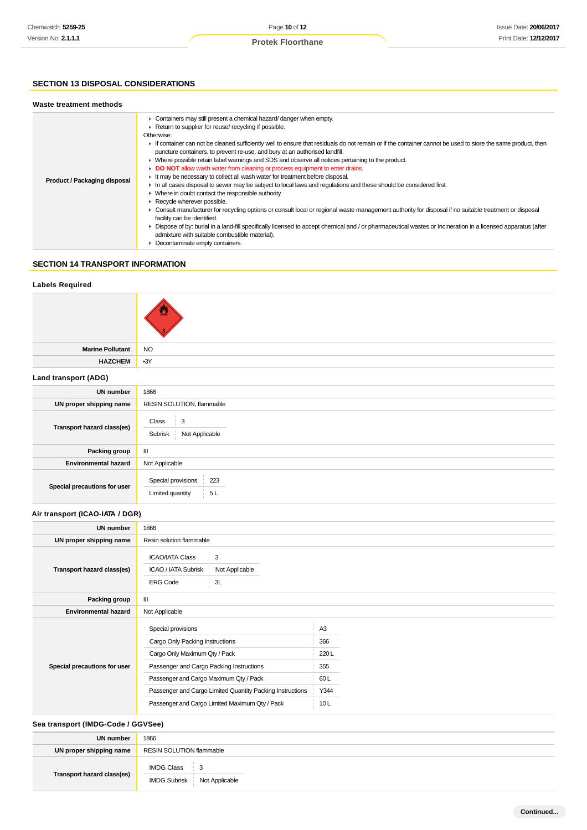## **SECTION 13 DISPOSAL CONSIDERATIONS**

#### **Waste treatment methods**

|                              | • Containers may still present a chemical hazard/ danger when empty.                                                                                                                  |
|------------------------------|---------------------------------------------------------------------------------------------------------------------------------------------------------------------------------------|
|                              | Return to supplier for reuse/ recycling if possible.                                                                                                                                  |
|                              | Otherwise:                                                                                                                                                                            |
|                              | If container can not be cleaned sufficiently well to ensure that residuals do not remain or if the container cannot be used to store the same product, then                           |
|                              | puncture containers, to prevent re-use, and bury at an authorised landfill.                                                                                                           |
|                              | • Where possible retain label warnings and SDS and observe all notices pertaining to the product.                                                                                     |
|                              | DO NOT allow wash water from cleaning or process equipment to enter drains.                                                                                                           |
|                              | It may be necessary to collect all wash water for treatment before disposal.                                                                                                          |
| Product / Packaging disposal | In all cases disposal to sewer may be subject to local laws and requlations and these should be considered first.                                                                     |
|                              | • Where in doubt contact the responsible authority.                                                                                                                                   |
|                              | Recycle wherever possible.                                                                                                                                                            |
|                              | ► Consult manufacturer for recycling options or consult local or regional waste management authority for disposal if no suitable treatment or disposal<br>facility can be identified. |
|                              | ▶ Dispose of by: burial in a land-fill specifically licensed to accept chemical and / or pharmaceutical wastes or Incineration in a licensed apparatus (after                         |
|                              | admixture with suitable combustible material).                                                                                                                                        |
|                              | • Decontaminate empty containers.                                                                                                                                                     |

## **SECTION 14 TRANSPORT INFORMATION**

| <b>Labels Required</b>             |                                                                                               |                |  |  |  |
|------------------------------------|-----------------------------------------------------------------------------------------------|----------------|--|--|--|
|                                    |                                                                                               |                |  |  |  |
| <b>Marine Pollutant</b>            | <b>NO</b>                                                                                     |                |  |  |  |
| <b>HAZCHEM</b>                     | $-3Y$                                                                                         |                |  |  |  |
| Land transport (ADG)               |                                                                                               |                |  |  |  |
| <b>UN number</b>                   | 1866                                                                                          |                |  |  |  |
| UN proper shipping name            | RESIN SOLUTION, flammable                                                                     |                |  |  |  |
| Transport hazard class(es)         | 3<br>Class<br>Subrisk<br>Not Applicable                                                       |                |  |  |  |
| Packing group                      | $\ensuremath{\mathsf{III}}\xspace$                                                            |                |  |  |  |
| <b>Environmental hazard</b>        | Not Applicable                                                                                |                |  |  |  |
| Special precautions for user       | Special provisions<br>223<br>Limited quantity<br>5L                                           |                |  |  |  |
| Air transport (ICAO-IATA / DGR)    |                                                                                               |                |  |  |  |
| <b>UN number</b>                   | 1866                                                                                          |                |  |  |  |
| UN proper shipping name            | Resin solution flammable                                                                      |                |  |  |  |
| Transport hazard class(es)         | <b>ICAO/IATA Class</b><br>3<br>ICAO / IATA Subrisk<br>Not Applicable<br><b>ERG Code</b><br>3L |                |  |  |  |
| Packing group                      | $\mathbf{III}$                                                                                |                |  |  |  |
| <b>Environmental hazard</b>        | Not Applicable                                                                                |                |  |  |  |
|                                    | Special provisions                                                                            | A <sub>3</sub> |  |  |  |
|                                    | Cargo Only Packing Instructions                                                               | 366            |  |  |  |
|                                    | Cargo Only Maximum Qty / Pack                                                                 | 220L           |  |  |  |
| Special precautions for user       | Passenger and Cargo Packing Instructions                                                      | 355            |  |  |  |
|                                    | Passenger and Cargo Maximum Qty / Pack                                                        | 60L            |  |  |  |
|                                    | Passenger and Cargo Limited Quantity Packing Instructions                                     | Y344           |  |  |  |
|                                    | Passenger and Cargo Limited Maximum Qty / Pack                                                | 10L            |  |  |  |
| Sea transport (IMDG-Code / GGVSee) |                                                                                               |                |  |  |  |
| <b>UN number</b>                   | 1866                                                                                          |                |  |  |  |

# **UN proper shipping name** RESIN SOLUTION flammable **Transport hazard class(es)** IMDG Class 3 IMDG Subrisk Not Applicable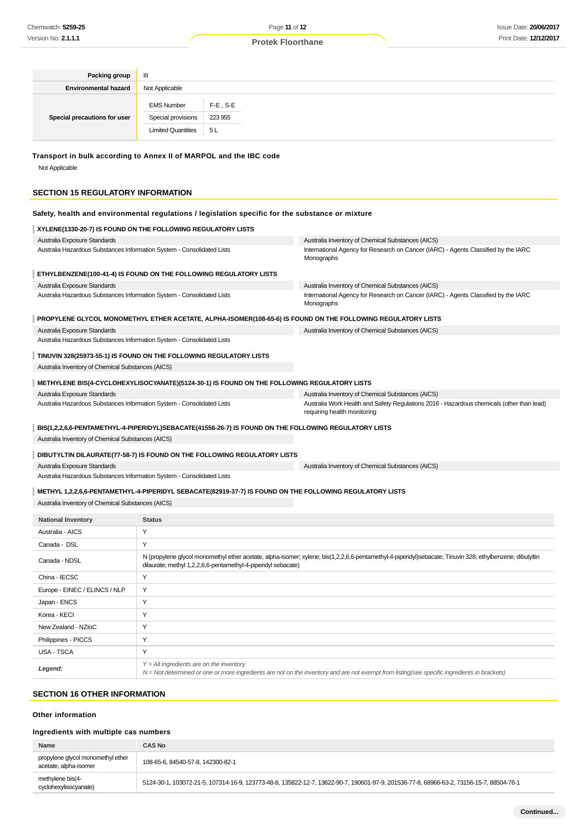| Packing group                                                                                                                                                                                      | Ш                                          |                                                               |                                                                                                                                                           |  |
|----------------------------------------------------------------------------------------------------------------------------------------------------------------------------------------------------|--------------------------------------------|---------------------------------------------------------------|-----------------------------------------------------------------------------------------------------------------------------------------------------------|--|
| <b>Environmental hazard</b>                                                                                                                                                                        | Not Applicable                             |                                                               |                                                                                                                                                           |  |
|                                                                                                                                                                                                    |                                            |                                                               |                                                                                                                                                           |  |
|                                                                                                                                                                                                    | <b>EMS Number</b>                          | $F-E$ , S-E                                                   |                                                                                                                                                           |  |
| Special precautions for user                                                                                                                                                                       | Special provisions                         | 223 955                                                       |                                                                                                                                                           |  |
|                                                                                                                                                                                                    | <b>Limited Quantities</b>                  | 5L                                                            |                                                                                                                                                           |  |
| Transport in bulk according to Annex II of MARPOL and the IBC code<br>Not Applicable<br>SECTION 15 REGULATORY INFORMATION                                                                          |                                            |                                                               |                                                                                                                                                           |  |
|                                                                                                                                                                                                    |                                            |                                                               |                                                                                                                                                           |  |
| Safety, health and environmental regulations / legislation specific for the substance or mixture                                                                                                   |                                            |                                                               |                                                                                                                                                           |  |
| XYLENE(1330-20-7) IS FOUND ON THE FOLLOWING REGULATORY LISTS                                                                                                                                       |                                            |                                                               |                                                                                                                                                           |  |
| Australia Exposure Standards<br>Australia Hazardous Substances Information System - Consolidated Lists                                                                                             |                                            |                                                               | Australia Inventory of Chemical Substances (AICS)<br>International Agency for Research on Cancer (IARC) - Agents Classified by the IARC                   |  |
|                                                                                                                                                                                                    |                                            |                                                               | Monographs                                                                                                                                                |  |
| ETHYLBENZENE(100-41-4) IS FOUND ON THE FOLLOWING REGULATORY LISTS                                                                                                                                  |                                            |                                                               |                                                                                                                                                           |  |
| Australia Exposure Standards                                                                                                                                                                       |                                            |                                                               | Australia Inventory of Chemical Substances (AICS)                                                                                                         |  |
| Australia Hazardous Substances Information System - Consolidated Lists                                                                                                                             |                                            |                                                               | International Agency for Research on Cancer (IARC) - Agents Classified by the IARC<br>Monographs                                                          |  |
|                                                                                                                                                                                                    |                                            |                                                               | PROPYLENE GLYCOL MONOMETHYL ETHER ACETATE, ALPHA-ISOMER(108-65-6) IS FOUND ON THE FOLLOWING REGULATORY LISTS                                              |  |
| Australia Exposure Standards                                                                                                                                                                       |                                            |                                                               | Australia Inventory of Chemical Substances (AICS)                                                                                                         |  |
| Australia Hazardous Substances Information System - Consolidated Lists                                                                                                                             |                                            |                                                               |                                                                                                                                                           |  |
| TINUVIN 328(25973-55-1) IS FOUND ON THE FOLLOWING REGULATORY LISTS                                                                                                                                 |                                            |                                                               |                                                                                                                                                           |  |
| Australia Inventory of Chemical Substances (AICS)                                                                                                                                                  |                                            |                                                               |                                                                                                                                                           |  |
| METHYLENE BIS(4-CYCLOHEXYLISOCYANATE)(5124-30-1) IS FOUND ON THE FOLLOWING REGULATORY LISTS                                                                                                        |                                            |                                                               |                                                                                                                                                           |  |
| Australia Exposure Standards                                                                                                                                                                       |                                            |                                                               | Australia Inventory of Chemical Substances (AICS)                                                                                                         |  |
| Australia Hazardous Substances Information System - Consolidated Lists<br>Australia Work Health and Safety Regulations 2016 - Hazardous chemicals (other than lead)<br>requiring health monitoring |                                            |                                                               |                                                                                                                                                           |  |
| BIS(1,2,2,6,6-PENTAMETHYL-4-PIPERIDYL)SEBACATE(41556-26-7) IS FOUND ON THE FOLLOWING REGULATORY LISTS                                                                                              |                                            |                                                               |                                                                                                                                                           |  |
| Australia Inventory of Chemical Substances (AICS)                                                                                                                                                  |                                            |                                                               |                                                                                                                                                           |  |
| DIBUTYLTIN DILAURATE(77-58-7) IS FOUND ON THE FOLLOWING REGULATORY LISTS                                                                                                                           |                                            |                                                               |                                                                                                                                                           |  |
| Australia Exposure Standards                                                                                                                                                                       |                                            |                                                               | Australia Inventory of Chemical Substances (AICS)                                                                                                         |  |
| Australia Hazardous Substances Information System - Consolidated Lists                                                                                                                             |                                            |                                                               |                                                                                                                                                           |  |
|                                                                                                                                                                                                    |                                            |                                                               |                                                                                                                                                           |  |
| METHYL 1,2,2,6,6-PENTAMETHYL-4-PIPERIDYL SEBACATE(82919-37-7) IS FOUND ON THE FOLLOWING REGULATORY LISTS<br>Australia Inventory of Chemical Substances (AICS)                                      |                                            |                                                               |                                                                                                                                                           |  |
| <b>National Inventory</b>                                                                                                                                                                          | <b>Status</b>                              |                                                               |                                                                                                                                                           |  |
| Australia - AICS                                                                                                                                                                                   | Υ                                          |                                                               |                                                                                                                                                           |  |
| Canada - DSL                                                                                                                                                                                       | Υ                                          |                                                               |                                                                                                                                                           |  |
| Canada - NDSL                                                                                                                                                                                      |                                            | dilaurate; methyl 1,2,2,6,6-pentamethyl-4-piperidyl sebacate) | N (propylene glycol monomethyl ether acetate, alpha-isomer; xylene; bis(1,2,2,6,6-pentamethyl-4-piperidyl)sebacate; Tinuvin 328; ethylbenzene; dibutyltin |  |
| China - IECSC                                                                                                                                                                                      | Υ                                          |                                                               |                                                                                                                                                           |  |
| Europe - EINEC / ELINCS / NLP                                                                                                                                                                      | Υ                                          |                                                               |                                                                                                                                                           |  |
| Japan - ENCS                                                                                                                                                                                       | Υ                                          |                                                               |                                                                                                                                                           |  |
| Korea - KECI                                                                                                                                                                                       | Υ                                          |                                                               |                                                                                                                                                           |  |
| New Zealand - NZIoC                                                                                                                                                                                | Υ                                          |                                                               |                                                                                                                                                           |  |
| Philippines - PICCS                                                                                                                                                                                | Υ                                          |                                                               |                                                                                                                                                           |  |
| USA - TSCA                                                                                                                                                                                         | Υ                                          |                                                               |                                                                                                                                                           |  |
|                                                                                                                                                                                                    | $Y = All$ ingredients are on the inventory |                                                               |                                                                                                                                                           |  |

#### **SECTION 16 OTHER INFORMATION**

## **Other information**

**Legend:**

## **Ingredients with multiple cas numbers**

| Name                                                       | CAS No                                                                                                                                  |
|------------------------------------------------------------|-----------------------------------------------------------------------------------------------------------------------------------------|
| propylene glycol monomethyl ether<br>acetate, alpha-isomer | 108-65-6, 84540-57-8, 142300-82-1                                                                                                       |
| methylene bis(4-<br>cyclohexylisocyanate)                  | 5124-30-1, 103072-21-5, 107314-16-9, 123773-48-8, 135822-12-7, 13622-90-7, 190601-97-9, 201536-77-8, 68966-63-2, 73156-15-7, 88504-76-1 |

N = Not determined or one or more ingredients are not on the inventory and are not exempt from listing(see specific ingredients in brackets)